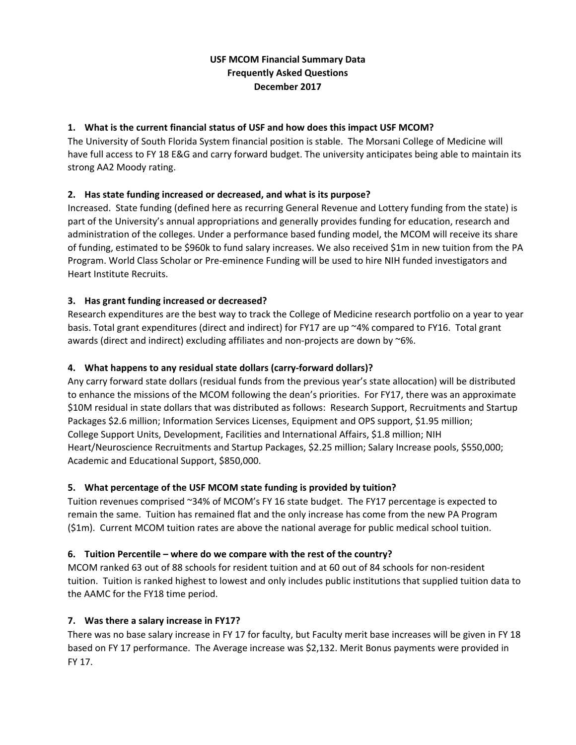# **USF MCOM Financial Summary Data Frequently Asked Questions December 2017**

## **1. What is the current financial status of USF and how does this impact USF MCOM?**

The University of South Florida System financial position is stable. The Morsani College of Medicine will have full access to FY 18 E&G and carry forward budget. The university anticipates being able to maintain its strong AA2 Moody rating.

## **2. Has state funding increased or decreased, and what is its purpose?**

Increased. State funding (defined here as recurring General Revenue and Lottery funding from the state) is part of the University's annual appropriations and generally provides funding for education, research and administration of the colleges. Under a performance based funding model, the MCOM will receive its share of funding, estimated to be \$960k to fund salary increases. We also received \$1m in new tuition from the PA Program. World Class Scholar or Pre‐eminence Funding will be used to hire NIH funded investigators and Heart Institute Recruits.

## **3. Has grant funding increased or decreased?**

Research expenditures are the best way to track the College of Medicine research portfolio on a year to year basis. Total grant expenditures (direct and indirect) for FY17 are up ~4% compared to FY16. Total grant awards (direct and indirect) excluding affiliates and non-projects are down by ~6%.

## **4. What happens to any residual state dollars (carry‐forward dollars)?**

Any carry forward state dollars (residual funds from the previous year's state allocation) will be distributed to enhance the missions of the MCOM following the dean's priorities. For FY17, there was an approximate \$10M residual in state dollars that was distributed as follows: Research Support, Recruitments and Startup Packages \$2.6 million; Information Services Licenses, Equipment and OPS support, \$1.95 million; College Support Units, Development, Facilities and International Affairs, \$1.8 million; NIH Heart/Neuroscience Recruitments and Startup Packages, \$2.25 million; Salary Increase pools, \$550,000; Academic and Educational Support, \$850,000.

### **5. What percentage of the USF MCOM state funding is provided by tuition?**

Tuition revenues comprised ~34% of MCOM's FY 16 state budget. The FY17 percentage is expected to remain the same. Tuition has remained flat and the only increase has come from the new PA Program (\$1m). Current MCOM tuition rates are above the national average for public medical school tuition.

### **6. Tuition Percentile – where do we compare with the rest of the country?**

MCOM ranked 63 out of 88 schools for resident tuition and at 60 out of 84 schools for non‐resident tuition. Tuition is ranked highest to lowest and only includes public institutions that supplied tuition data to the AAMC for the FY18 time period.

### **7. Was there a salary increase in FY17?**

There was no base salary increase in FY 17 for faculty, but Faculty merit base increases will be given in FY 18 based on FY 17 performance. The Average increase was \$2,132. Merit Bonus payments were provided in FY 17.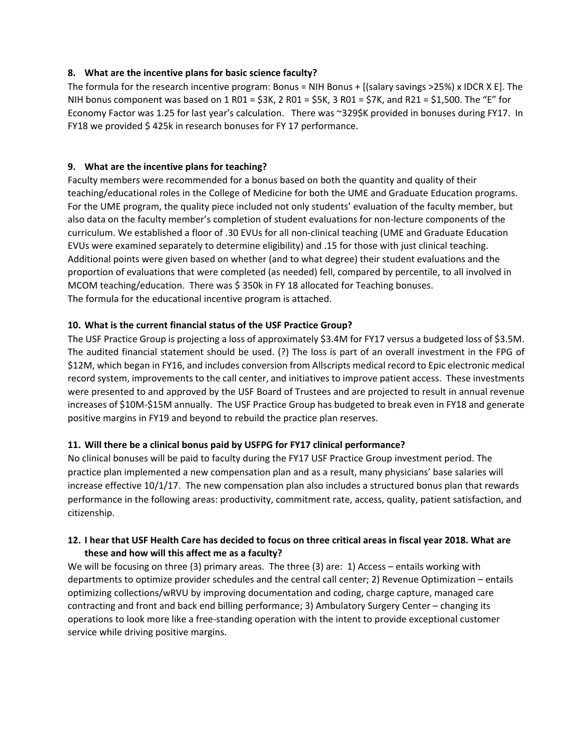### **8. What are the incentive plans for basic science faculty?**

The formula for the research incentive program: Bonus = NIH Bonus + [(salary savings >25%) x IDCR X E]. The NIH bonus component was based on 1 R01 = \$3K, 2 R01 = \$5K, 3 R01 = \$7K, and R21 = \$1,500. The "E" for Economy Factor was 1.25 for last year's calculation. There was ~329\$K provided in bonuses during FY17. In FY18 we provided \$ 425k in research bonuses for FY 17 performance.

## **9. What are the incentive plans for teaching?**

Faculty members were recommended for a bonus based on both the quantity and quality of their teaching/educational roles in the College of Medicine for both the UME and Graduate Education programs. For the UME program, the quality piece included not only students' evaluation of the faculty member, but also data on the faculty member's completion of student evaluations for non‐lecture components of the curriculum. We established a floor of .30 EVUs for all non‐clinical teaching (UME and Graduate Education EVUs were examined separately to determine eligibility) and .15 for those with just clinical teaching. Additional points were given based on whether (and to what degree) their student evaluations and the proportion of evaluations that were completed (as needed) fell, compared by percentile, to all involved in MCOM teaching/education. There was \$ 350k in FY 18 allocated for Teaching bonuses. The formula for the educational incentive program is attached.

## **10. What is the current financial status of the USF Practice Group?**

The USF Practice Group is projecting a loss of approximately \$3.4M for FY17 versus a budgeted loss of \$3.5M. The audited financial statement should be used. (?) The loss is part of an overall investment in the FPG of \$12M, which began in FY16, and includes conversion from Allscripts medical record to Epic electronic medical record system, improvements to the call center, and initiatives to improve patient access. These investments were presented to and approved by the USF Board of Trustees and are projected to result in annual revenue increases of \$10M‐\$15M annually. The USF Practice Group has budgeted to break even in FY18 and generate positive margins in FY19 and beyond to rebuild the practice plan reserves.

## **11. Will there be a clinical bonus paid by USFPG for FY17 clinical performance?**

No clinical bonuses will be paid to faculty during the FY17 USF Practice Group investment period. The practice plan implemented a new compensation plan and as a result, many physicians' base salaries will increase effective 10/1/17. The new compensation plan also includes a structured bonus plan that rewards performance in the following areas: productivity, commitment rate, access, quality, patient satisfaction, and citizenship.

## **12. I hear that USF Health Care has decided to focus on three critical areas in fiscal year 2018. What are these and how will this affect me as a faculty?**

We will be focusing on three (3) primary areas. The three (3) are: 1) Access – entails working with departments to optimize provider schedules and the central call center; 2) Revenue Optimization – entails optimizing collections/wRVU by improving documentation and coding, charge capture, managed care contracting and front and back end billing performance; 3) Ambulatory Surgery Center – changing its operations to look more like a free‐standing operation with the intent to provide exceptional customer service while driving positive margins.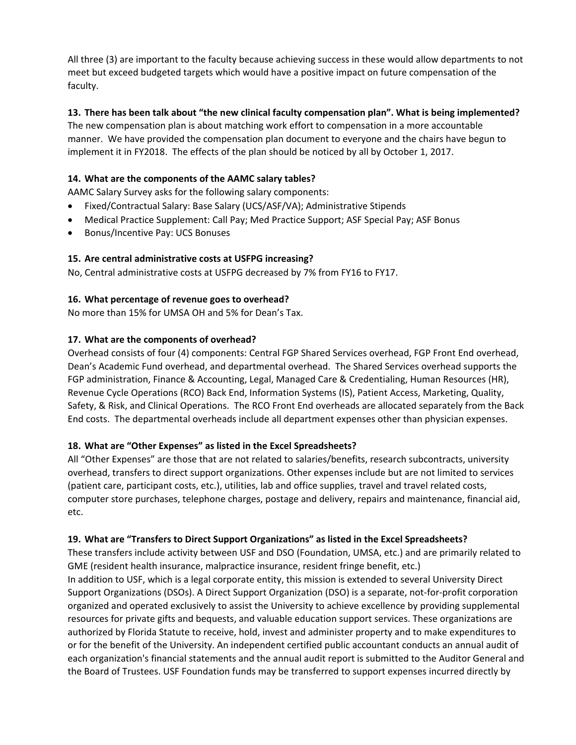All three (3) are important to the faculty because achieving success in these would allow departments to not meet but exceed budgeted targets which would have a positive impact on future compensation of the faculty.

## **13. There has been talk about "the new clinical faculty compensation plan". What is being implemented?**

The new compensation plan is about matching work effort to compensation in a more accountable manner. We have provided the compensation plan document to everyone and the chairs have begun to implement it in FY2018. The effects of the plan should be noticed by all by October 1, 2017.

## **14. What are the components of the AAMC salary tables?**

AAMC Salary Survey asks for the following salary components:

- Fixed/Contractual Salary: Base Salary (UCS/ASF/VA); Administrative Stipends
- Medical Practice Supplement: Call Pay; Med Practice Support; ASF Special Pay; ASF Bonus
- Bonus/Incentive Pay: UCS Bonuses

## **15. Are central administrative costs at USFPG increasing?**

No, Central administrative costs at USFPG decreased by 7% from FY16 to FY17.

### **16. What percentage of revenue goes to overhead?**

No more than 15% for UMSA OH and 5% for Dean's Tax.

### **17. What are the components of overhead?**

Overhead consists of four (4) components: Central FGP Shared Services overhead, FGP Front End overhead, Dean's Academic Fund overhead, and departmental overhead. The Shared Services overhead supports the FGP administration, Finance & Accounting, Legal, Managed Care & Credentialing, Human Resources (HR), Revenue Cycle Operations (RCO) Back End, Information Systems (IS), Patient Access, Marketing, Quality, Safety, & Risk, and Clinical Operations. The RCO Front End overheads are allocated separately from the Back End costs. The departmental overheads include all department expenses other than physician expenses.

### **18. What are "Other Expenses" as listed in the Excel Spreadsheets?**

All "Other Expenses" are those that are not related to salaries/benefits, research subcontracts, university overhead, transfers to direct support organizations. Other expenses include but are not limited to services (patient care, participant costs, etc.), utilities, lab and office supplies, travel and travel related costs, computer store purchases, telephone charges, postage and delivery, repairs and maintenance, financial aid, etc.

### **19. What are "Transfers to Direct Support Organizations" as listed in the Excel Spreadsheets?**

These transfers include activity between USF and DSO (Foundation, UMSA, etc.) and are primarily related to GME (resident health insurance, malpractice insurance, resident fringe benefit, etc.) In addition to USF, which is a legal corporate entity, this mission is extended to several University Direct Support Organizations (DSOs). A Direct Support Organization (DSO) is a separate, not‐for‐profit corporation organized and operated exclusively to assist the University to achieve excellence by providing supplemental resources for private gifts and bequests, and valuable education support services. These organizations are authorized by Florida Statute to receive, hold, invest and administer property and to make expenditures to or for the benefit of the University. An independent certified public accountant conducts an annual audit of each organization's financial statements and the annual audit report is submitted to the Auditor General and the Board of Trustees. USF Foundation funds may be transferred to support expenses incurred directly by